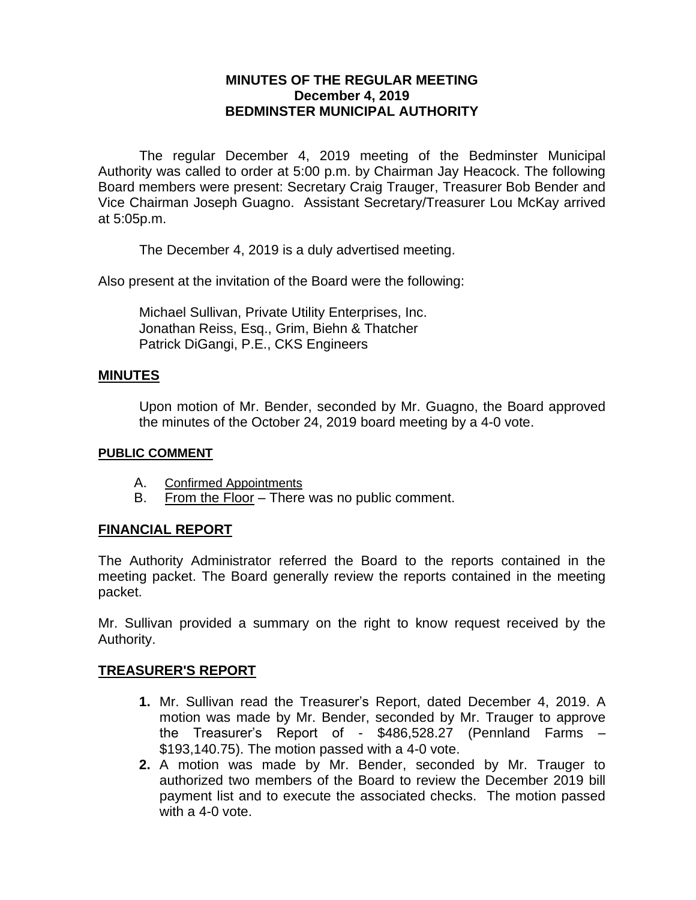## **MINUTES OF THE REGULAR MEETING December 4, 2019 BEDMINSTER MUNICIPAL AUTHORITY**

The regular December 4, 2019 meeting of the Bedminster Municipal Authority was called to order at 5:00 p.m. by Chairman Jay Heacock. The following Board members were present: Secretary Craig Trauger, Treasurer Bob Bender and Vice Chairman Joseph Guagno. Assistant Secretary/Treasurer Lou McKay arrived at 5:05p.m.

The December 4, 2019 is a duly advertised meeting.

Also present at the invitation of the Board were the following:

Michael Sullivan, Private Utility Enterprises, Inc. Jonathan Reiss, Esq., Grim, Biehn & Thatcher Patrick DiGangi, P.E., CKS Engineers

#### **MINUTES**

Upon motion of Mr. Bender, seconded by Mr. Guagno, the Board approved the minutes of the October 24, 2019 board meeting by a 4-0 vote.

#### **PUBLIC COMMENT**

- A. Confirmed Appointments
- B. From the Floor There was no public comment.

## **FINANCIAL REPORT**

The Authority Administrator referred the Board to the reports contained in the meeting packet. The Board generally review the reports contained in the meeting packet.

Mr. Sullivan provided a summary on the right to know request received by the Authority.

#### **TREASURER'S REPORT**

- **1.** Mr. Sullivan read the Treasurer's Report, dated December 4, 2019. A motion was made by Mr. Bender, seconded by Mr. Trauger to approve the Treasurer's Report of - \$486,528.27 (Pennland Farms – \$193,140.75). The motion passed with a 4-0 vote.
- **2.** A motion was made by Mr. Bender, seconded by Mr. Trauger to authorized two members of the Board to review the December 2019 bill payment list and to execute the associated checks. The motion passed with a 4-0 vote.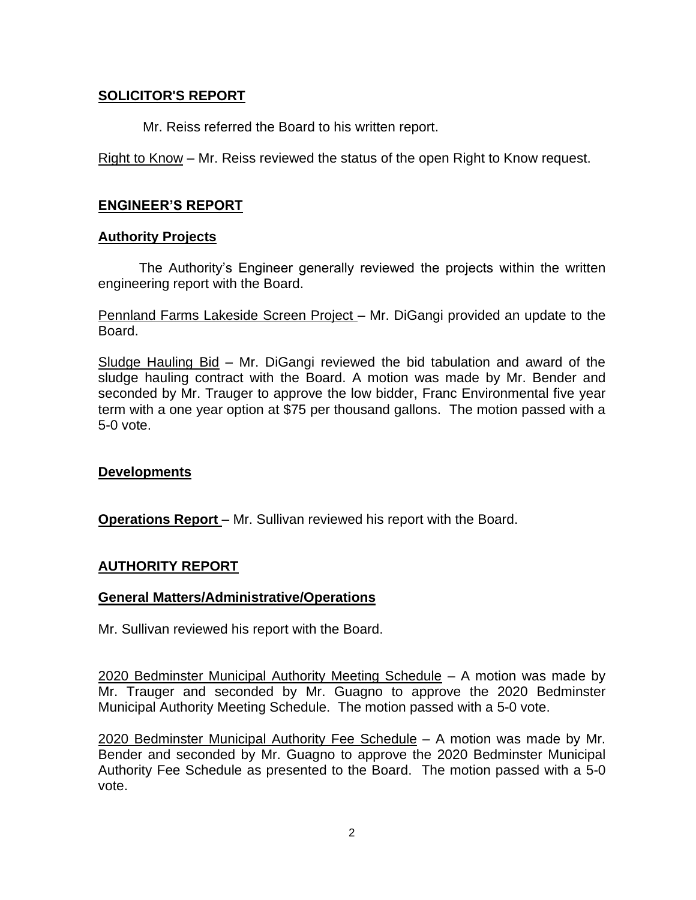## **SOLICITOR'S REPORT**

Mr. Reiss referred the Board to his written report.

Right to Know – Mr. Reiss reviewed the status of the open Right to Know request.

## **ENGINEER'S REPORT**

## **Authority Projects**

The Authority's Engineer generally reviewed the projects within the written engineering report with the Board.

Pennland Farms Lakeside Screen Project – Mr. DiGangi provided an update to the Board.

Sludge Hauling Bid – Mr. DiGangi reviewed the bid tabulation and award of the sludge hauling contract with the Board. A motion was made by Mr. Bender and seconded by Mr. Trauger to approve the low bidder, Franc Environmental five year term with a one year option at \$75 per thousand gallons. The motion passed with a 5-0 vote.

# **Developments**

**Operations Report** – Mr. Sullivan reviewed his report with the Board.

## **AUTHORITY REPORT**

## **General Matters/Administrative/Operations**

Mr. Sullivan reviewed his report with the Board.

2020 Bedminster Municipal Authority Meeting Schedule – A motion was made by Mr. Trauger and seconded by Mr. Guagno to approve the 2020 Bedminster Municipal Authority Meeting Schedule. The motion passed with a 5-0 vote.

2020 Bedminster Municipal Authority Fee Schedule – A motion was made by Mr. Bender and seconded by Mr. Guagno to approve the 2020 Bedminster Municipal Authority Fee Schedule as presented to the Board. The motion passed with a 5-0 vote.